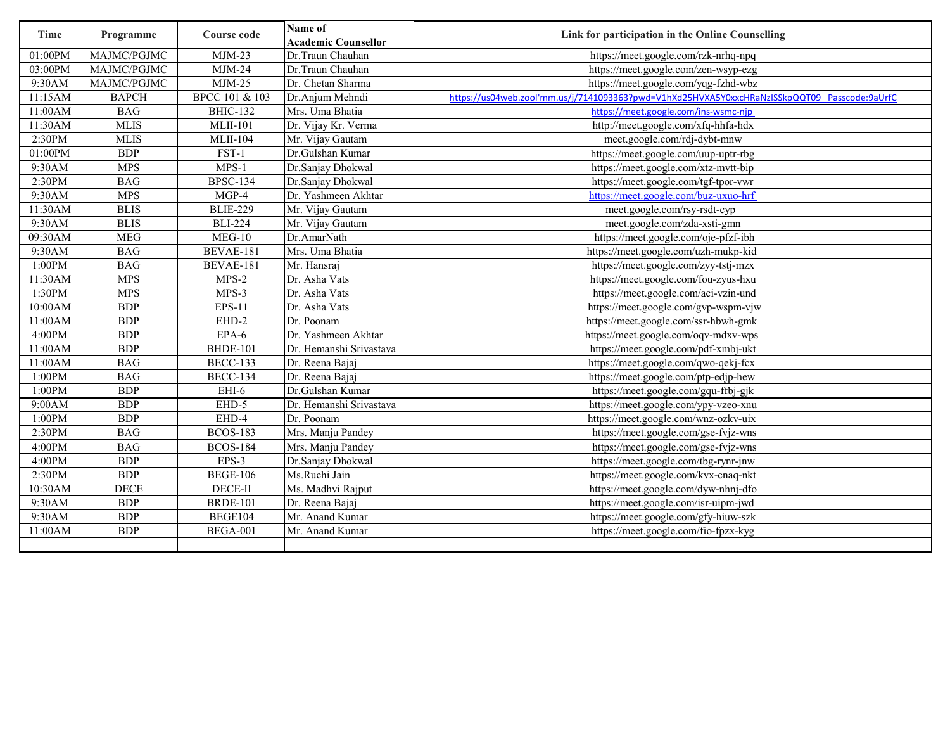| Time    | Programme        | Course code               | Name of<br><b>Academic Counsellor</b> | Link for participation in the Online Counselling                                             |
|---------|------------------|---------------------------|---------------------------------------|----------------------------------------------------------------------------------------------|
| 01:00PM | MAJMC/PGJMC      | $MJM-23$                  | Dr.Traun Chauhan                      | https://meet.google.com/rzk-nrhq-npq                                                         |
| 03:00PM | MAJMC/PGJMC      | $MJM-24$                  | Dr.Traun Chauhan                      | https://meet.google.com/zen-wsyp-ezg                                                         |
| 9:30AM  | MAJMC/PGJMC      | $MJM-25$                  | Dr. Chetan Sharma                     | https://meet.google.com/yqg-fzhd-wbz                                                         |
| 11:15AM | <b>BAPCH</b>     | <b>BPCC 101 &amp; 103</b> | Dr.Anjum Mehndi                       | https://us04web.zool'mm.us/j/7141093363?pwd=V1hXd25HVXA5Y0xxcHRaNzISSkpQQT09 Passcode:9aUrfC |
| 11:00AM | <b>BAG</b>       | <b>BHIC-132</b>           | Mrs. Uma Bhatia                       | https://meet.google.com/ins-wsmc-nip                                                         |
| 11:30AM | <b>MLIS</b>      | <b>MLII-101</b>           | Dr. Vijay Kr. Verma                   | http://meet.google.com/xfq-hhfa-hdx                                                          |
| 2:30PM  | <b>MLIS</b>      | <b>MLII-104</b>           | Mr. Vijay Gautam                      | meet.google.com/rdj-dybt-mnw                                                                 |
| 01:00PM | <b>BDP</b>       | FST-1                     | Dr.Gulshan Kumar                      | https://meet.google.com/uup-uptr-rbg                                                         |
| 9:30AM  | <b>MPS</b>       | $MPS-1$                   | Dr.Sanjay Dhokwal                     | https://meet.google.com/xtz-mvtt-bip                                                         |
| 2:30PM  | <b>BAG</b>       | <b>BPSC-134</b>           | Dr.Sanjay Dhokwal                     | https://meet.google.com/tgf-tpor-vwr                                                         |
| 9:30AM  | <b>MPS</b>       | $MGP-4$                   | Dr. Yashmeen Akhtar                   | https://meet.google.com/buz-uxuo-hrf                                                         |
| 11:30AM | <b>BLIS</b>      | <b>BLIE-229</b>           | Mr. Vijay Gautam                      | meet.google.com/rsy-rsdt-cyp                                                                 |
| 9:30AM  | <b>BLIS</b>      | <b>BLI-224</b>            | Mr. Vijay Gautam                      | meet.google.com/zda-xsti-gmn                                                                 |
| 09:30AM | <b>MEG</b>       | $MEG-10$                  | Dr.AmarNath                           | https://meet.google.com/oje-pfzf-ibh                                                         |
| 9:30AM  | <b>BAG</b>       | BEVAE-181                 | Mrs. Uma Bhatia                       | https://meet.google.com/uzh-mukp-kid                                                         |
| 1:00PM  | <b>BAG</b>       | BEVAE-181                 | Mr. Hansraj                           | https://meet.google.com/zyy-tstj-mzx                                                         |
| 11:30AM | <b>MPS</b>       | $MPS-2$                   | Dr. Asha Vats                         | https://meet.google.com/fou-zyus-hxu                                                         |
| 1:30PM  | $MP\overline{S}$ | $MPS-3$                   | Dr. Asha Vats                         | https://meet.google.com/aci-vzin-und                                                         |
| 10:00AM | <b>BDP</b>       | <b>EPS-11</b>             | Dr. Asha Vats                         | https://meet.google.com/gvp-wspm-vjw                                                         |
| 11:00AM | <b>BDP</b>       | EHD-2                     | Dr. Poonam                            | https://meet.google.com/ssr-hbwh-gmk                                                         |
| 4:00PM  | <b>BDP</b>       | EPA-6                     | Dr. Yashmeen Akhtar                   | https://meet.google.com/oqv-mdxv-wps                                                         |
| 11:00AM | <b>BDP</b>       | <b>BHDE-101</b>           | Dr. Hemanshi Srivastava               | https://meet.google.com/pdf-xmbj-ukt                                                         |
| 11:00AM | <b>BAG</b>       | <b>BECC-133</b>           | Dr. Reena Bajaj                       | https://meet.google.com/qwo-qekj-fcx                                                         |
| 1:00PM  | <b>BAG</b>       | <b>BECC-134</b>           | Dr. Reena Bajaj                       | https://meet.google.com/ptp-edjp-hew                                                         |
| 1:00PM  | <b>BDP</b>       | EHI-6                     | Dr.Gulshan Kumar                      | https://meet.google.com/gqu-ffbj-gjk                                                         |
| 9:00AM  | <b>BDP</b>       | EHD-5                     | Dr. Hemanshi Srivastava               | https://meet.google.com/ypy-vzeo-xnu                                                         |
| 1:00PM  | <b>BDP</b>       | EHD-4                     | Dr. Poonam                            | https://meet.google.com/wnz-ozkv-uix                                                         |
| 2:30PM  | <b>BAG</b>       | <b>BCOS-183</b>           | Mrs. Manju Pandey                     | https://meet.google.com/gse-fvjz-wns                                                         |
| 4:00PM  | <b>BAG</b>       | <b>BCOS-184</b>           | Mrs. Manju Pandey                     | https://meet.google.com/gse-fvjz-wns                                                         |
| 4:00PM  | <b>BDP</b>       | EPS-3                     | Dr.Sanjay Dhokwal                     | https://meet.google.com/tbg-rynr-jnw                                                         |
| 2:30PM  | <b>BDP</b>       | <b>BEGE-106</b>           | Ms.Ruchi Jain                         | https://meet.google.com/kvx-cnaq-nkt                                                         |
| 10:30AM | <b>DECE</b>      | DECE-II                   | Ms. Madhvi Rajput                     | https://meet.google.com/dyw-nhnj-dfo                                                         |
| 9:30AM  | <b>BDP</b>       | <b>BRDE-101</b>           | Dr. Reena Bajaj                       | https://meet.google.com/isr-uipm-jwd                                                         |
| 9:30AM  | <b>BDP</b>       | BEGE104                   | Mr. Anand Kumar                       | https://meet.google.com/gfy-hiuw-szk                                                         |
| 11:00AM | <b>BDP</b>       | <b>BEGA-001</b>           | Mr. Anand Kumar                       | https://meet.google.com/fio-fpzx-kyg                                                         |
|         |                  |                           |                                       |                                                                                              |